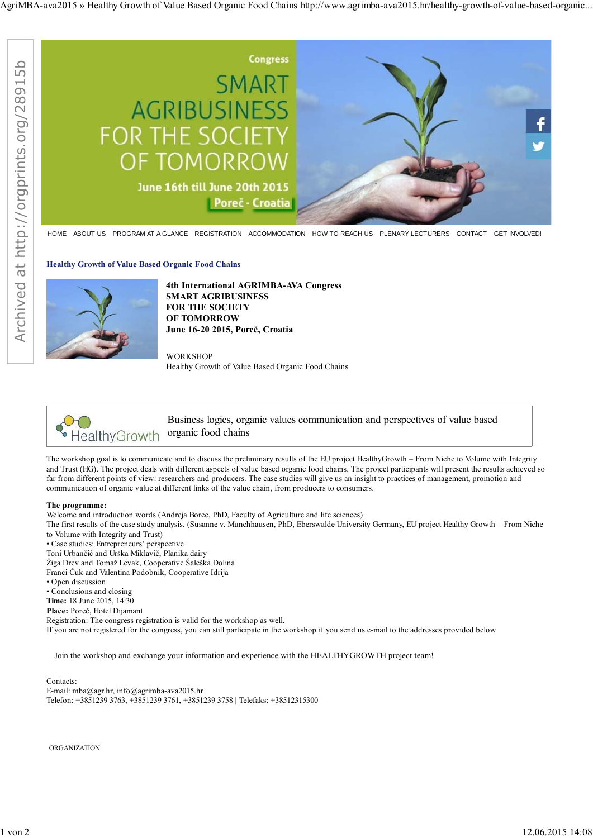

HOME ABOUT US PROGRAM AT A GLANCE REGISTRATION ACCOMMODATION HOW TO REACH US PLENARY LECTURERS CONTACT GET INVOLVED!

**Healthy Growth of Value Based Organic Food Chains**



**4th International AGRIMBA-AVA Congress SMART AGRIBUSINESS FOR THE SOCIETY OF TOMORROW June 16-20 2015, Poreč, Croatia**

**WORKSHOP** Healthy Growth of Value Based Organic Food Chains



Business logics, organic values communication and perspectives of value based organic food chains

The workshop goal is to communicate and to discuss the preliminary results of the EU project HealthyGrowth – From Niche to Volume with Integrity and Trust (HG). The project deals with different aspects of value based organic food chains. The project participants will present the results achieved so far from different points of view: researchers and producers. The case studies will give us an insight to practices of management, promotion and communication of organic value at different links of the value chain, from producers to consumers.

## **The programme:**

Welcome and introduction words (Andreja Borec, PhD, Faculty of Agriculture and life sciences)

The first results of the case study analysis. (Susanne v. Munchhausen, PhD, Eberswalde University Germany, EU project Healthy Growth – From Niche to Volume with Integrity and Trust)

• Case studies: Entrepreneurs' perspective

Toni Urbančić and Urška Miklavič, Planika dairy

Žiga Drev and Tomaž Levak, Cooperative Šaleška Dolina

Franci Čuk and Valentina Podobnik, Cooperative Idrija

• Open discussion

• Conclusions and closing

**Time:** 18 June 2015, 14:30

**Place:** Poreč, Hotel Dijamant

Registration: The congress registration is valid for the workshop as well.

If you are not registered for the congress, you can still participate in the workshop if you send us e-mail to the addresses provided below

Join the workshop and exchange your information and experience with the HEALTHYGROWTH project team!

## Contacts:

E-mail: mba@agr.hr, info@agrimba-ava2015.hr Telefon: +3851239 3763, +3851239 3761, +3851239 3758 | Telefaks: +38512315300

**ORGANIZATION**